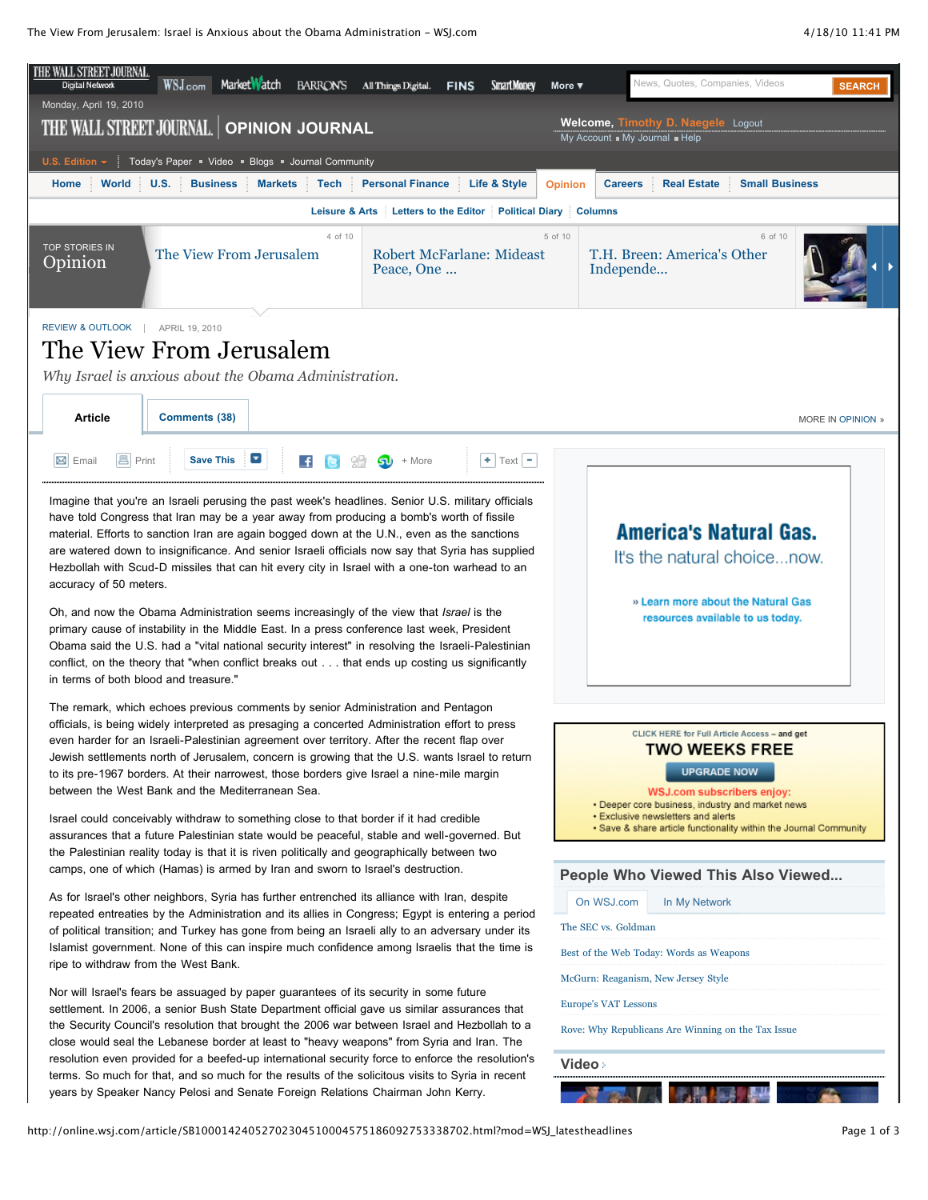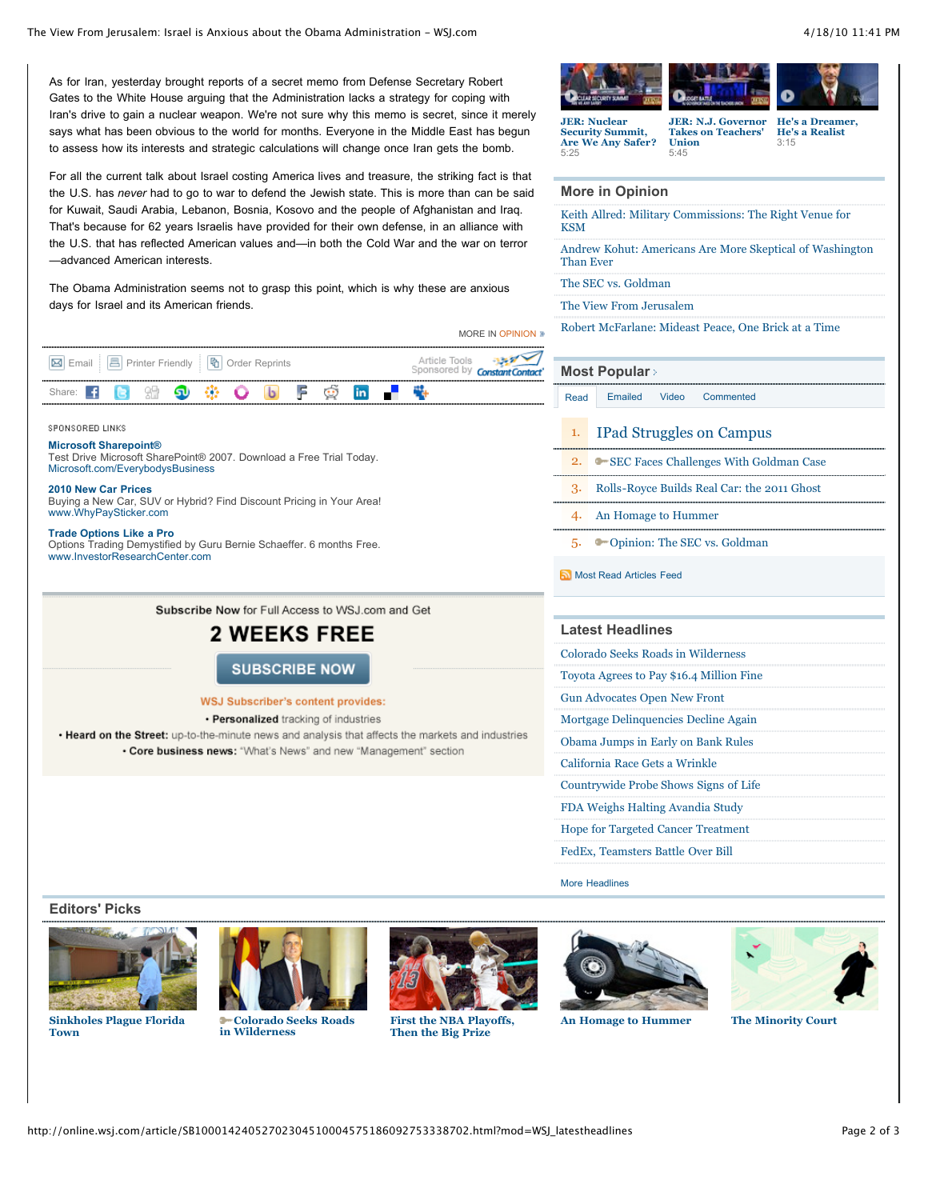As for Iran, yesterday brought reports of a secret memo from Defense Secretary Robert Gates to the White House arguing that the Administration lacks a strategy for coping with Iran's drive to gain a nuclear weapon. We're not sure why this memo is secret, since it merely says what has been obvious to the world for months. Everyone in the Middle East has begun to assess how its interests and strategic calculations will change once Iran gets the bomb.

For all the current talk about Israel costing America lives and treasure, the striking fact is that the U.S. has *never* had to go to war to defend the Jewish state. This is more than can be said for Kuwait, Saudi Arabia, Lebanon, Bosnia, Kosovo and the people of Afghanistan and Iraq. That's because for 62 years Israelis have provided for their own defense, in an alliance with the U.S. that has reflected American values and—in both the Cold War and the war on terror —advanced American interests.

The Obama Administration seems not to grasp this point, which is why these are anxious days for Israel and its American friends.

|                                                                  |  |  |  |  |  |  |  |  |  |                                                       |        | MORE IN OPINION » |  |  |
|------------------------------------------------------------------|--|--|--|--|--|--|--|--|--|-------------------------------------------------------|--------|-------------------|--|--|
| <b>M</b> Email <b>A</b> Printer Friendly <b>h</b> Order Reprints |  |  |  |  |  |  |  |  |  | Article Tools<br>Sponsored by <b>Constant Contact</b> |        |                   |  |  |
|                                                                  |  |  |  |  |  |  |  |  |  |                                                       | in a t |                   |  |  |

#### **SPONSORED LINKS**

**[Microsoft Sharepoint®](http://0.r.msn.com/?ld=2vUZJ7oTmedwJeT7ugLZPc+bVVAa+nhITQYC3qJsHpKe+1EGnJhjo71gjHXTOGSN3AJ+E5QLXNJ7WO1ZQJ53dtF7zhlINn6W5aoZpsRq3P+98BnmyoFmyLlPC7HuI745a/CERm4oQH6v2iW52o5UyddoTOoPXVduLC8+lHT5o4/8iwlwqu9Q5snF3ZEl9iEwUf+DYutgvsvHzOehvfU5GvMR/2d02jvXmsXnjmVUYVQqg1unun5/Y6zAJPvTglFm9nb3lLExJUNXPSi01GLP2ENU2E1UBI+3MdgLgNU2F93uA5gT9lycoHGEHSsTIAjZOu0PBIT0e4IHvDcb5SDUbR0As=)** [Test Drive Microsoft SharePoint® 2007. Download a Free Trial Today.](http://0.r.msn.com/?ld=2vUZJ7oTmedwJeT7ugLZPc+bVVAa+nhITQYC3qJsHpKe+1EGnJhjo71gjHXTOGSN3AJ+E5QLXNJ7WO1ZQJ53dtF7zhlINn6W5aoZpsRq3P+98BnmyoFmyLlPC7HuI745a/CERm4oQH6v2iW52o5UyddoTOoPXVduLC8+lHT5o4/8iwlwqu9Q5snF3ZEl9iEwUf+DYutgvsvHzOehvfU5GvMR/2d02jvXmsXnjmVUYVQqg1unun5/Y6zAJPvTglFm9nb3lLExJUNXPSi01GLP2ENU2E1UBI+3MdgLgNU2F93uA5gT9lycoHGEHSsTIAjZOu0PBIT0e4IHvDcb5SDUbR0As=) [Microsoft.com/EverybodysBusiness](http://0.r.msn.com/?ld=2vUZJ7oTmedwJeT7ugLZPc+bVVAa+nhITQYC3qJsHpKe+1EGnJhjo71gjHXTOGSN3AJ+E5QLXNJ7WO1ZQJ53dtF7zhlINn6W5aoZpsRq3P+98BnmyoFmyLlPC7HuI745a/CERm4oQH6v2iW52o5UyddoTOoPXVduLC8+lHT5o4/8iwlwqu9Q5snF3ZEl9iEwUf+DYutgvsvHzOehvfU5GvMR/2d02jvXmsXnjmVUYVQqg1unun5/Y6zAJPvTglFm9nb3lLExJUNXPSi01GLP2ENU2E1UBI+3MdgLgNU2F93uA5gT9lycoHGEHSsTIAjZOu0PBIT0e4IHvDcb5SDUbR0As=)

#### **[2010 New Car Prices](http://0.r.msn.com/?ld=2vq5ssP1vGAcGFpf7Px+kxNWswFfE6U773nJr59NtIKD0cY5lNqItIt/m4lzSO2YtReu/NxjMF+Ovgc+k0mIQ9h/FhGabXtBsacL24zVUNl2JYbeqg3B/U2u+/h6ndTvxHvbvLwBTQpRIclQYWLReSFnI8TP0rLJLHam+MI5otGFfiw8PEvbiVrOTCA5BOc+Q1Svd7nYnILZ62G3Cxm6cl1gYr9C+479Esnf9OaJZHVNOdYbSnVazEmulPcH985D7JkRVL+Ogh3zm93/uWsBathKy1a1taNd6/2pNGfGOz2eNiu5zxhaofN6l4fwvDWBHRm+o3LXO9AuguvUH/bwjT+wR5UBrCS3Hz8EhPRzxGLthbccGc2OZnCw==)**

[Buying a New Car, SUV or Hybrid? Find Discount Pricing in Your Area!](http://0.r.msn.com/?ld=2vq5ssP1vGAcGFpf7Px+kxNWswFfE6U773nJr59NtIKD0cY5lNqItIt/m4lzSO2YtReu/NxjMF+Ovgc+k0mIQ9h/FhGabXtBsacL24zVUNl2JYbeqg3B/U2u+/h6ndTvxHvbvLwBTQpRIclQYWLReSFnI8TP0rLJLHam+MI5otGFfiw8PEvbiVrOTCA5BOc+Q1Svd7nYnILZ62G3Cxm6cl1gYr9C+479Esnf9OaJZHVNOdYbSnVazEmulPcH985D7JkRVL+Ogh3zm93/uWsBathKy1a1taNd6/2pNGfGOz2eNiu5zxhaofN6l4fwvDWBHRm+o3LXO9AuguvUH/bwjT+wR5UBrCS3Hz8EhPRzxGLthbccGc2OZnCw==) [www.WhyPaySticker.com](http://0.r.msn.com/?ld=2vq5ssP1vGAcGFpf7Px+kxNWswFfE6U773nJr59NtIKD0cY5lNqItIt/m4lzSO2YtReu/NxjMF+Ovgc+k0mIQ9h/FhGabXtBsacL24zVUNl2JYbeqg3B/U2u+/h6ndTvxHvbvLwBTQpRIclQYWLReSFnI8TP0rLJLHam+MI5otGFfiw8PEvbiVrOTCA5BOc+Q1Svd7nYnILZ62G3Cxm6cl1gYr9C+479Esnf9OaJZHVNOdYbSnVazEmulPcH985D7JkRVL+Ogh3zm93/uWsBathKy1a1taNd6/2pNGfGOz2eNiu5zxhaofN6l4fwvDWBHRm+o3LXO9AuguvUH/bwjT+wR5UBrCS3Hz8EhPRzxGLthbccGc2OZnCw==)

#### **[Trade Options Like a Pro](http://0.r.msn.com/?ld=2vS0sNnBgpLkj7cyEuhfIL4PyuOAethyBjaZS3yFpzOGxy5YhUUqGfMFLSpYEGFXFGRw9mtfKIWTLPuUVD5d4Lfr/YbDMNs0WXKDd9/KU13R2PGonQqHIO5vJVix9RPvv4m97Tw6bLYne90nJlPDdQDrRY0AMFwo0XofoqvsQvp6q7WxfS31Z6Y35piCX7mCNADWW0PUCU6dY6biusffFpvbY2Jlk05OwKo2iGX7VMwLlJ8ZCJFHEb6TaPW3nCyOpSDTbKm7VFIwcnJCyRIWuYHeWUxfBIT0eemS7zJ5zfsUSK6gs=)**

[Options Trading Demystified by Guru Bernie Schaeffer. 6 months Free.](http://0.r.msn.com/?ld=2vS0sNnBgpLkj7cyEuhfIL4PyuOAethyBjaZS3yFpzOGxy5YhUUqGfMFLSpYEGFXFGRw9mtfKIWTLPuUVD5d4Lfr/YbDMNs0WXKDd9/KU13R2PGonQqHIO5vJVix9RPvv4m97Tw6bLYne90nJlPDdQDrRY0AMFwo0XofoqvsQvp6q7WxfS31Z6Y35piCX7mCNADWW0PUCU6dY6biusffFpvbY2Jlk05OwKo2iGX7VMwLlJ8ZCJFHEb6TaPW3nCyOpSDTbKm7VFIwcnJCyRIWuYHeWUxfBIT0eemS7zJ5zfsUSK6gs=) [www.InvestorResearchCenter.com](http://0.r.msn.com/?ld=2vS0sNnBgpLkj7cyEuhfIL4PyuOAethyBjaZS3yFpzOGxy5YhUUqGfMFLSpYEGFXFGRw9mtfKIWTLPuUVD5d4Lfr/YbDMNs0WXKDd9/KU13R2PGonQqHIO5vJVix9RPvv4m97Tw6bLYne90nJlPDdQDrRY0AMFwo0XofoqvsQvp6q7WxfS31Z6Y35piCX7mCNADWW0PUCU6dY6biusffFpvbY2Jlk05OwKo2iGX7VMwLlJ8ZCJFHEb6TaPW3nCyOpSDTbKm7VFIwcnJCyRIWuYHeWUxfBIT0eemS7zJ5zfsUSK6gs=)

Subscribe Now for Full Access to WSJ.com and Get

## **2 WEEKS FREE**

**SUBSCRIBE NOW** 

#### **WSJ Subscriber's content provides:**

• Personalized tracking of industries

. Heard on the Street: up-to-the-minute news and analysis that affects the markets and industries . Core business news: "What's News" and new "Management" section

## **More in Opinion**

**Security Summit, [Are We Any Safer?](http://online.wsj.com/video/jer-nuclear-security-summit-are-we-any-safer/11E82922-FECD-4F4B-B964-A70EA2E01CDB.html)**

5:25

[Keith Allred: Military Commissions: The Right Venue for](http://online.wsj.com/article/SB10001424052748703444804575071880705027218.html?mod=WSJ_article_MoreIn) KSM

[Andrew Kohut: Americans Are More Skeptical of Washington](http://online.wsj.com/article/SB10001424052702303491304575187941408991442.html?mod=WSJ_article_MoreIn) Than Ever

#### [The SEC vs. Goldman](http://online.wsj.com/article/SB10001424052702303491304575188352960427106.html?mod=WSJ_article_MoreIn)

[The View From Jerusalem](http://online.wsj.com/article/SB10001424052702304510004575186092753338702.html?mod=WSJ_article_MoreIn)

[Robert McFarlane: Mideast Peace, One Brick at a Time](http://online.wsj.com/article/SB10001424052702303491304575187942850578732.html?mod=WSJ_article_MoreIn)

#### **[Most Popular](http://online.wsj.com/public/page/most_popular.html)**

[Read](http://online.wsj.com/article/SB10001424052702304510004575186092753338702.html?mod=WSJ_latestheadlines#mostPopular_mostRead) [Emailed](http://online.wsj.com/article/SB10001424052702304510004575186092753338702.html?mod=WSJ_latestheadlines#mostPopular_mostEmailed) [Video](http://online.wsj.com/article/SB10001424052702304510004575186092753338702.html?mod=WSJ_latestheadlines#mostPopular_mostPopularVideo) [Commented](http://online.wsj.com/article/SB10001424052702304510004575186092753338702.html?mod=WSJ_latestheadlines#mostPopular_mostCommented)

- 1. [IPad Struggles on Campus](http://online.wsj.com/article/SB10001424052748703594404575192330930646778.html?mod=WSJ_hp_mostpop_read)
- 2. [SEC Faces Challenges With Goldman Case](http://online.wsj.com/article/SB10001424052748704508904575191882961621478.html?mod=WSJ_hp_mostpop_read)

3. [Rolls-Royce Builds Real Car: the 2011 Ghost](http://online.wsj.com/article/SB10001424052702303720604575170323695367824.html?mod=WSJ_hp_mostpop_read)

- 4. [An Homage to Hummer](http://online.wsj.com/article/SB10001424052702304510004575186243922694492.html?mod=WSJ_hp_mostpop_read)
- 5. [Opinion: The SEC vs. Goldman](http://online.wsj.com/article/SB10001424052702303491304575188352960427106.html?mod=WSJ_hp_mostpop_read)

[Most Read Articles Feed](http://online.wsj.com/rss?mod=fpp_rss)

#### **Latest Headlines**

- [Colorado Seeks Roads in Wilderness](http://online.wsj.com/article/SB10001424052748704508904575192070587875584.html?mod=WSJ_article_LatestHeadlines)
- [Toyota Agrees to Pay \\$16.4 Million Fine](http://online.wsj.com/article/SB10001424052748704508904575192873543926804.html?mod=WSJ_article_LatestHeadlines)
- [Gun Advocates Open New Front](http://online.wsj.com/article/SB10001424052748704508904575192162324152350.html?mod=WSJ_article_LatestHeadlines)
- [Mortgage Delinquencies Decline Again](http://online.wsj.com/article/SB10001424052748703594404575192390804879672.html?mod=WSJ_article_LatestHeadlines)
- [Obama Jumps in Early on Bank Rules](http://online.wsj.com/article/SB10001424052748703594404575192210859398550.html?mod=WSJ_article_LatestHeadlines)
- [California Race Gets a Wrinkle](http://online.wsj.com/article/SB10001424052748703594404575192450332492746.html?mod=WSJ_article_LatestHeadlines)
- [Countrywide Probe Shows Signs of Life](http://online.wsj.com/article/SB10001424052702304180804575188722277738484.html?mod=WSJ_article_LatestHeadlines)
- [FDA Weighs Halting Avandia Study](http://online.wsj.com/article/SB10001424052748704508904575191944217066832.html?mod=WSJ_article_LatestHeadlines)
- [Hope for Targeted Cancer Treatment](http://online.wsj.com/article/SB10001424052748704508904575192051659802366.html?mod=WSJ_article_LatestHeadlines)
- [FedEx, Teamsters Battle Over Bill](http://online.wsj.com/article/SB10001424052702304180804575188374049969364.html?mod=WSJ_article_LatestHeadlines)

[More Headlines](http://online.wsj.com/home/us)

#### **Editors' Picks**



**[Sinkholes Plague Florida](http://online.wsj.com/article/SB10001424052702304172404575169014291111050.html?mod=WSJ_hp_editorsPicks) Town**



**in Wilderness**



**[First the NBA Playoffs,](http://online.wsj.com/article/SB10001424052748704508904575192131135239318.html?mod=WSJ_hp_editorsPicks) Then the Big Prize**



**[Colorado Seeks Roads](http://online.wsj.com/article/SB10001424052748704508904575192070587875584.html?mod=WSJ_hp_editorsPicks) [An Homage to Hummer](http://online.wsj.com/article/SB10001424052702304510004575186243922694492.html?mod=WSJ_hp_editorsPicks) [The Minority Court](http://online.wsj.com/article/SB10001424052702303491304575187970162324004.html?mod=WSJ_hp_editorsPicks)**



**He's a Realist** 3:15



**Takes on Teachers'**

**Union** 5:45